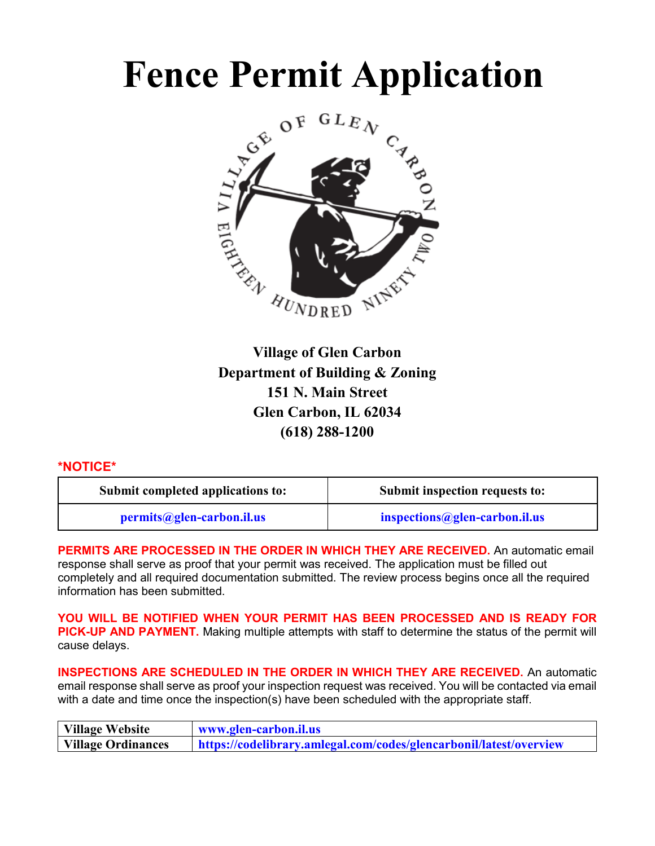# **Fence Permit Application**



**Village of Glen Carbon Department of Building & Zoning 151 N. Main Street Glen Carbon, IL 62034 (618) 288-1200**

### **\*NOTICE\***

| Submit completed applications to: | Submit inspection requests to: |
|-----------------------------------|--------------------------------|
| permits@glen-carbon.il.us         | inspections@glen-carbon.il.us  |

**PERMITS ARE PROCESSED IN THE ORDER IN WHICH THEY ARE RECEIVED.** An automatic email response shall serve as proof that your permit was received. The application must be filled out completely and all required documentation submitted. The review process begins once all the required information has been submitted.

**YOU WILL BE NOTIFIED WHEN YOUR PERMIT HAS BEEN PROCESSED AND IS READY FOR PICK-UP AND PAYMENT.** Making multiple attempts with staff to determine the status of the permit will cause delays.

**INSPECTIONS ARE SCHEDULED IN THE ORDER IN WHICH THEY ARE RECEIVED.** An automatic email response shall serve as proof your inspection request was received. You will be contacted via email with a date and time once the inspection(s) have been scheduled with the appropriate staff.

| Village Website    | www.glen-carbon.il.us                                              |
|--------------------|--------------------------------------------------------------------|
| Village Ordinances | https://codelibrary.amlegal.com/codes/glencarbonil/latest/overview |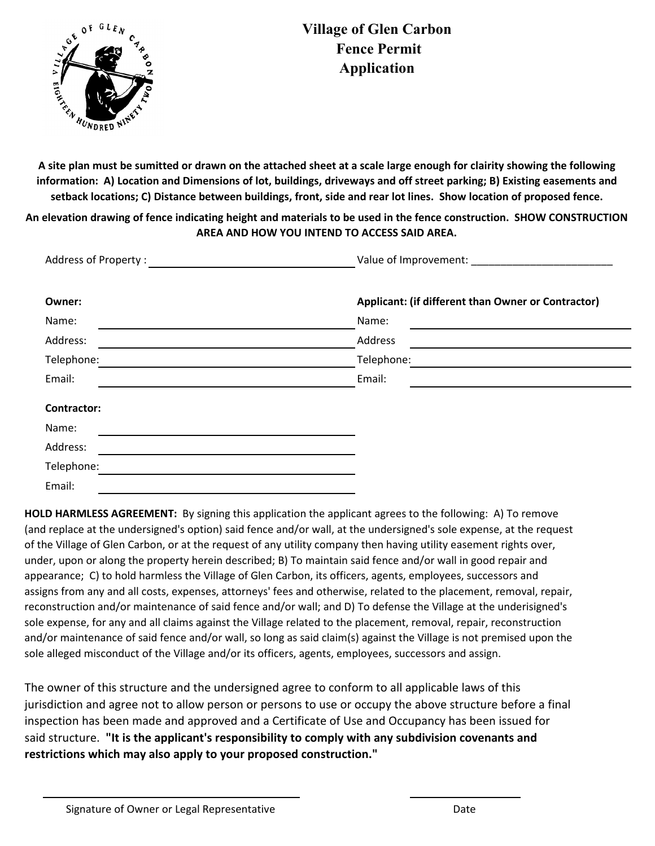

**A site plan must be sumitted or drawn on the attached sheet at a scale large enough for clairity showing the following information: A) Location and Dimensions of lot, buildings, driveways and off street parking; B) Existing easements and setback locations; C) Distance between buildings, front, side and rear lot lines. Show location of proposed fence.** 

**An elevation drawing of fence indicating height and materials to be used in the fence construction. SHOW CONSTRUCTION AREA AND HOW YOU INTEND TO ACCESS SAID AREA.** 

| Address of Property : |                                                    |  |  |  |  |  |  |  |  |  |  |  |
|-----------------------|----------------------------------------------------|--|--|--|--|--|--|--|--|--|--|--|
| Owner:                | Applicant: (if different than Owner or Contractor) |  |  |  |  |  |  |  |  |  |  |  |
| Name:                 | Name:                                              |  |  |  |  |  |  |  |  |  |  |  |
| Address:              | Address                                            |  |  |  |  |  |  |  |  |  |  |  |
| Telephone:            | Telephone:                                         |  |  |  |  |  |  |  |  |  |  |  |
| Email:                | Email:                                             |  |  |  |  |  |  |  |  |  |  |  |
| <b>Contractor:</b>    |                                                    |  |  |  |  |  |  |  |  |  |  |  |
| Name:                 |                                                    |  |  |  |  |  |  |  |  |  |  |  |
| Address:              |                                                    |  |  |  |  |  |  |  |  |  |  |  |
| Telephone:            |                                                    |  |  |  |  |  |  |  |  |  |  |  |
| Email:                |                                                    |  |  |  |  |  |  |  |  |  |  |  |

HOLD HARMLESS AGREEMENT: By signing this application the applicant agrees to the following: A) To remove (and replace at the undersigned's option) said fence and/or wall, at the undersigned's sole expense, at the request of the Village of Glen Carbon, or at the request of any utility company then having utility easement rights over, under, upon or along the property herein described; B) To maintain said fence and/or wall in good repair and appearance; C) to hold harmless the Village of Glen Carbon, its officers, agents, employees, successors and assigns from any and all costs, expenses, attorneys' fees and otherwise, related to the placement, removal, repair, reconstruction and/or maintenance of said fence and/or wall; and D) To defense the Village at the underisigned's sole expense, for any and all claims against the Village related to the placement, removal, repair, reconstruction and/or maintenance of said fence and/or wall, so long as said claim(s) against the Village is not premised upon the sole alleged misconduct of the Village and/or its officers, agents, employees, successors and assign.

The owner of this structure and the undersigned agree to conform to all applicable laws of this jurisdiction and agree not to allow person or persons to use or occupy the above structure before a final inspection has been made and approved and a Certificate of Use and Occupancy has been issued for said structure. **"It is the applicant's responsibility to comply with any subdivision covenants and restrictions which may also apply to your proposed construction."**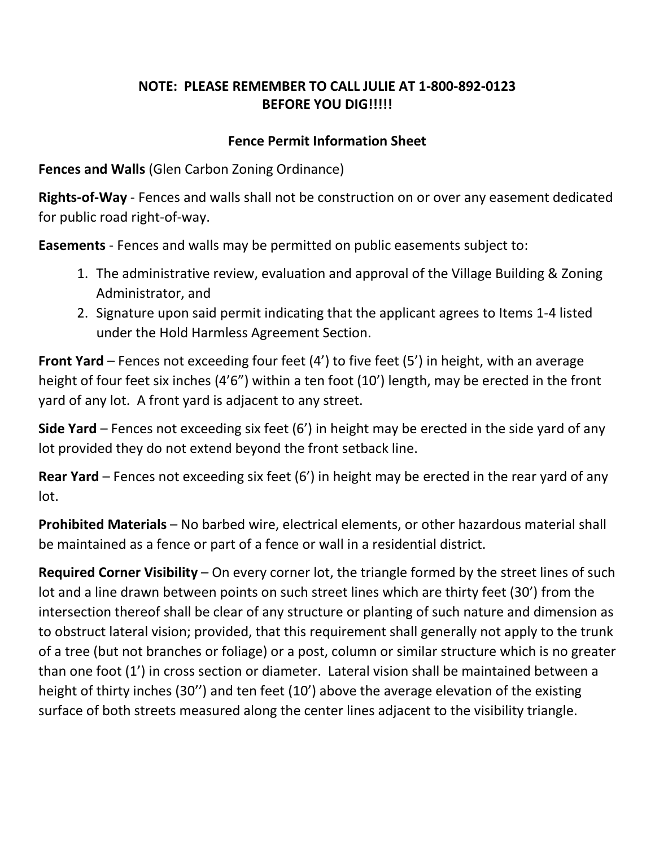## **NOTE: PLEASE REMEMBER TO CALL JULIE AT 1-800-892-0123 BEFORE YOU DIG!!!!!**

## **Fence Permit Information Sheet**

**Fences and Walls** (Glen Carbon Zoning Ordinance)

**Rights-of-Way** - Fences and walls shall not be construction on or over any easement dedicated for public road right-of-way.

**Easements** - Fences and walls may be permitted on public easements subject to:

- 1. The administrative review, evaluation and approval of the Village Building & Zoning Administrator, and
- 2. Signature upon said permit indicating that the applicant agrees to Items 1-4 listed under the Hold Harmless Agreement Section.

**Front Yard** – Fences not exceeding four feet (4') to five feet (5') in height, with an average height of four feet six inches (4'6") within a ten foot (10') length, may be erected in the front yard of any lot. A front yard is adjacent to any street.

**Side Yard** – Fences not exceeding six feet (6') in height may be erected in the side yard of any lot provided they do not extend beyond the front setback line.

**Rear Yard** – Fences not exceeding six feet (6') in height may be erected in the rear yard of any lot.

**Prohibited Materials** – No barbed wire, electrical elements, or other hazardous material shall be maintained as a fence or part of a fence or wall in a residential district.

**Required Corner Visibility** – On every corner lot, the triangle formed by the street lines of such lot and a line drawn between points on such street lines which are thirty feet (30') from the intersection thereof shall be clear of any structure or planting of such nature and dimension as to obstruct lateral vision; provided, that this requirement shall generally not apply to the trunk of a tree (but not branches or foliage) or a post, column or similar structure which is no greater than one foot (1') in cross section or diameter. Lateral vision shall be maintained between a height of thirty inches (30'') and ten feet (10') above the average elevation of the existing surface of both streets measured along the center lines adjacent to the visibility triangle.